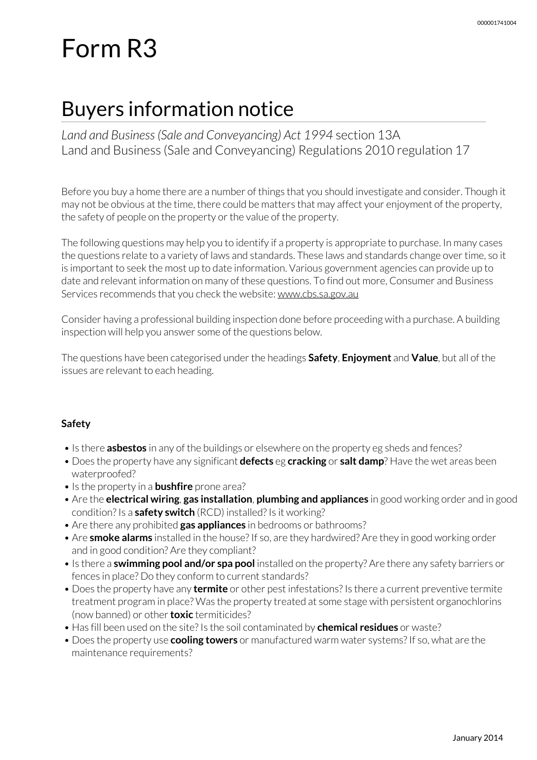# Form R3

# Buyers information notice

*Land and Business (Sale and Conveyancing) Act 1994* section 13A Land and Business (Sale and Conveyancing) Regulations 2010 regulation 17

Before you buy a home there are a number of things that you should investigate and consider. Though it may not be obvious at the time, there could be matters that may affect your enjoyment of the property, the safety of people on the property or the value of the property.

The following questions may help you to identify if a property is appropriate to purchase. In many cases the questions relate to a variety of laws and standards. These laws and standards change over time, so it is important to seek the most up to date information. Various government agencies can provide up to date and relevant information on many of these questions. To find out more, Consumer and Business Services recommends that you check the website: www.cbs.sa.gov.au

Consider having a professional building inspection done before proceeding with a purchase. A building inspection will help you answer some of the questions below.

The questions have been categorised underthe headings **Safety**, **Enjoyment** and **Value**, but all of the issues are relevant to each heading.

## **Safety**

- Is there **asbestos** in any of the buildings or elsewhere on the property eg sheds and fences?
- Does the property have any significant **defects** eg **cracking** or **salt damp**? Have the wet areas been waterproofed?
- Is the property in a **bushfire** prone area?
- Are the **electrical wiring**, **gas installation**, **plumbing and appliances** in good working order and in good condition? Is a **safety switch** (RCD) installed? Is it working?
- Are there any prohibited **gas appliances** in bedrooms or bathrooms?
- Are **smoke alarms** installed in the house? If so, are they hardwired? Are they in good working order and in good condition? Are they compliant?
- Is there a **swimming pool and/or spa pool** installed on the property? Are there any safety barriers or fences in place? Do they conform to current standards?
- Does the property have any **termite** or other pest infestations? Is there a current preventive termite treatment program in place? Was the property treated at some stage with persistent organochlorins (now banned) or other**toxic** termiticides?
- Has fill been used on the site? Is the soil contaminated by **chemical residues** or waste?
- Does the property use **cooling towers** or manufactured warm water systems? If so, what are the maintenance requirements?